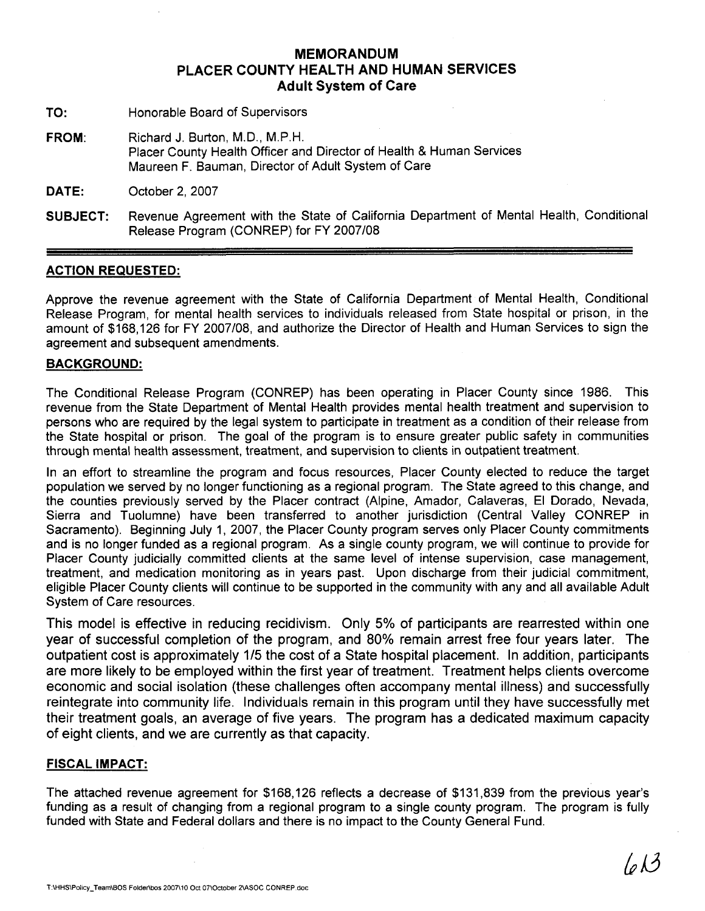### MEMORANDUM PLACER COUNTY HEALTH AND HUMAN SERVICES Adult System of Care

- TO: Honorable Board of Supervisors
- FROM: Richard J. Burton, M.D., M.P.H. Placer County Health Officer and Director of Health & Human Services Maureen F. Bauman, Director of Adult System of Care
- DATE: October 2. 2007
- SUBJECT: Revenue Agreement with the State of California Department of Mental Health, Conditional Release Program (CONREP) for FY 2007/08

#### ACTION REQUESTED:

Approve the revenue agreement with the State of California Department of Mental Health, Conditional Release Program, for mental health services to individuals released from State hospital or prison, in the amount of \$168,126 for FY 2007108, and authorize the Director of Health and Human Services to sign the agreement and subsequent amendments.

#### BACKGROUND:

The Conditional Release Program (CONREP) has been operating in Placer County since 1986. This revenue from the State Department of Mental Health provides mental health treatment and supervision to persons who are required by the legal system to participate in treatment as a condition of their release from the State hospital or prison. The goal of the program is to ensure greater public safety in communities through mental health assessment, treatment, and supervision to clients in outpatient treatment.

In an effort to streamline the program and focus resources, Placer County elected to reduce the target population we served by no longer functioning as a regional program. The State agreed to this change, and the counties previously served by the Placer contract (Alpine, Amador, Calaveras, El Dorado, Nevada, Sierra and Tuolumne) have been transferred to another jurisdiction (Central Valley CONREP in Sacramento). Beginning July 1, 2007, the Placer County program serves only Placer County commitments and is no longer funded as a regional program. As a single county program, we will continue to provide for Placer County judicially committed clients at the same level of intense supervision, case management, treatment, and medication monitoring as in years past. Upon discharge from their judicial commitment, eligible Placer County clients will continue to be supported in the community with any and all available Adult System of Care resources.

This model is effective in reducing recidivism. Only 5% of participants are rearrested within one year of successful completion of the program, and 80% remain arrest free four years later. The outpatient cost is approximately 115 the cost of a State hospital placement. In addition, participants are more likely to be employed within the first year of treatment. Treatment helps clients overcome economic and social isolation (these challenges often accompany mental illness) and successfully reintegrate into community life. Individuals remain in this program until they have successfully met their treatment goals, an average of five years. The program has a dedicated maximum capacity of eight clients, and we are currently as that capacity.

#### FISCAL IMPACT:

The attached revenue agreement for \$168,126 reflects a decrease of \$131,839 from the previous year's funding as a result of changing from a regional program to a single county program. The program is fully funded with State and Federal dollars and there is no impact to the County General Fund.